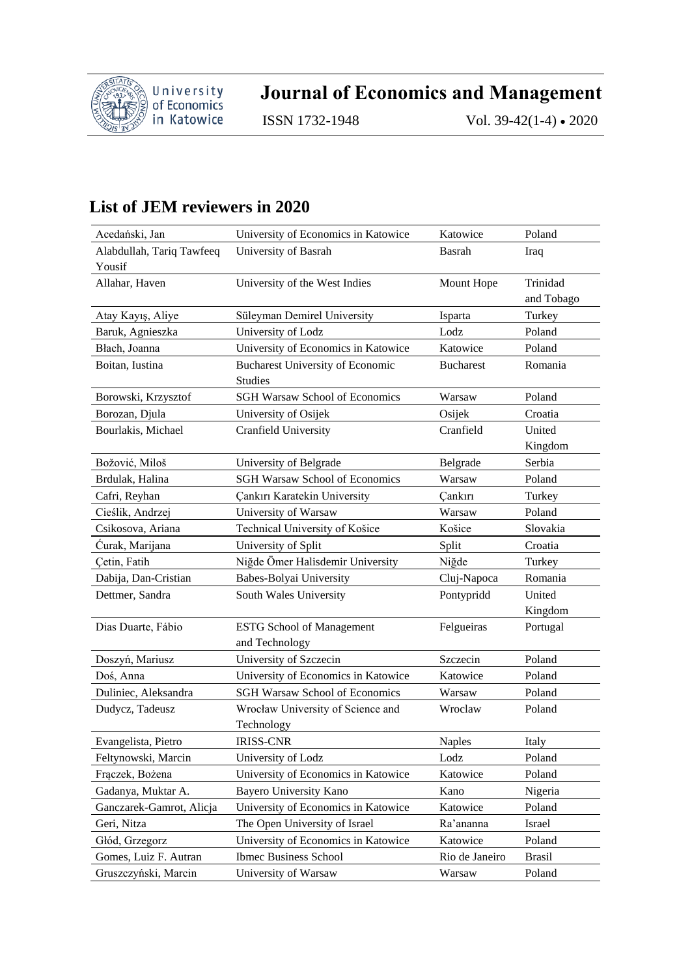

**Journal of Economics and Management**

ISSN 1732-1948 Vol. 39-42(1-4) • 2020

## **List of JEM reviewers in 2020**

| Acedański, Jan            | University of Economics in Katowice     | Katowice         | Poland     |
|---------------------------|-----------------------------------------|------------------|------------|
| Alabdullah, Tariq Tawfeeq | University of Basrah                    | Basrah           | Iraq       |
| Yousif                    |                                         |                  |            |
| Allahar, Haven            | University of the West Indies           | Mount Hope       | Trinidad   |
|                           |                                         |                  | and Tobago |
| Atay Kayış, Aliye         | Süleyman Demirel University             | Isparta          | Turkey     |
| Baruk, Agnieszka          | University of Lodz                      | Lodz             | Poland     |
| Błach, Joanna             | University of Economics in Katowice     | Katowice         | Poland     |
| Boitan, Iustina           | <b>Bucharest University of Economic</b> | <b>Bucharest</b> | Romania    |
|                           | <b>Studies</b>                          |                  |            |
| Borowski, Krzysztof       | <b>SGH Warsaw School of Economics</b>   | Warsaw           | Poland     |
| Borozan, Djula            | University of Osijek                    | Osijek           | Croatia    |
| Bourlakis, Michael        | <b>Cranfield University</b>             | Cranfield        | United     |
|                           |                                         |                  | Kingdom    |
| Božović, Miloš            | University of Belgrade                  | Belgrade         | Serbia     |
| Brdulak, Halina           | <b>SGH Warsaw School of Economics</b>   | Warsaw           | Poland     |
| Cafri, Reyhan             | Cankırı Karatekin University            | Cankırı          | Turkey     |
| Cieślik, Andrzej          | University of Warsaw                    | Warsaw           | Poland     |
| Csikosova, Ariana         | Technical University of Košice          | Košice           | Slovakia   |
| Ćurak, Marijana           | University of Split                     | Split            | Croatia    |
| Çetin, Fatih              | Niğde Ömer Halisdemir University        | Niğde            | Turkey     |
| Dabija, Dan-Cristian      | Babes-Bolyai University                 | Cluj-Napoca      | Romania    |
| Dettmer, Sandra           | South Wales University                  | Pontypridd       | United     |
|                           |                                         |                  | Kingdom    |
| Dias Duarte, Fábio        | ESTG School of Management               | Felgueiras       | Portugal   |
|                           | and Technology                          |                  |            |
| Doszyń, Mariusz           | University of Szczecin                  | Szczecin         | Poland     |
| Doś, Anna                 | University of Economics in Katowice     | Katowice         | Poland     |
| Duliniec, Aleksandra      | <b>SGH Warsaw School of Economics</b>   | Warsaw           | Poland     |
| Dudycz, Tadeusz           | Wrocław University of Science and       | Wroclaw          | Poland     |
|                           | Technology                              |                  |            |
| Evangelista, Pietro       | <b>IRISS-CNR</b>                        | <b>Naples</b>    | Italy      |
| Feltynowski, Marcin       | University of Lodz                      | Lodz             | Poland     |
| Fraczek, Bożena           | University of Economics in Katowice     | Katowice         | Poland     |
| Gadanya, Muktar A.        | Bayero University Kano                  | Kano             | Nigeria    |
| Ganczarek-Gamrot, Alicja  | University of Economics in Katowice     | Katowice         | Poland     |
| Geri, Nitza               | The Open University of Israel           | Ra'ananna        | Israel     |
| Głód, Grzegorz            | University of Economics in Katowice     | Katowice         | Poland     |
| Gomes, Luiz F. Autran     | <b>Ibmec Business School</b>            | Rio de Janeiro   | Brasil     |
| Gruszczyński, Marcin      | University of Warsaw                    | Warsaw           | Poland     |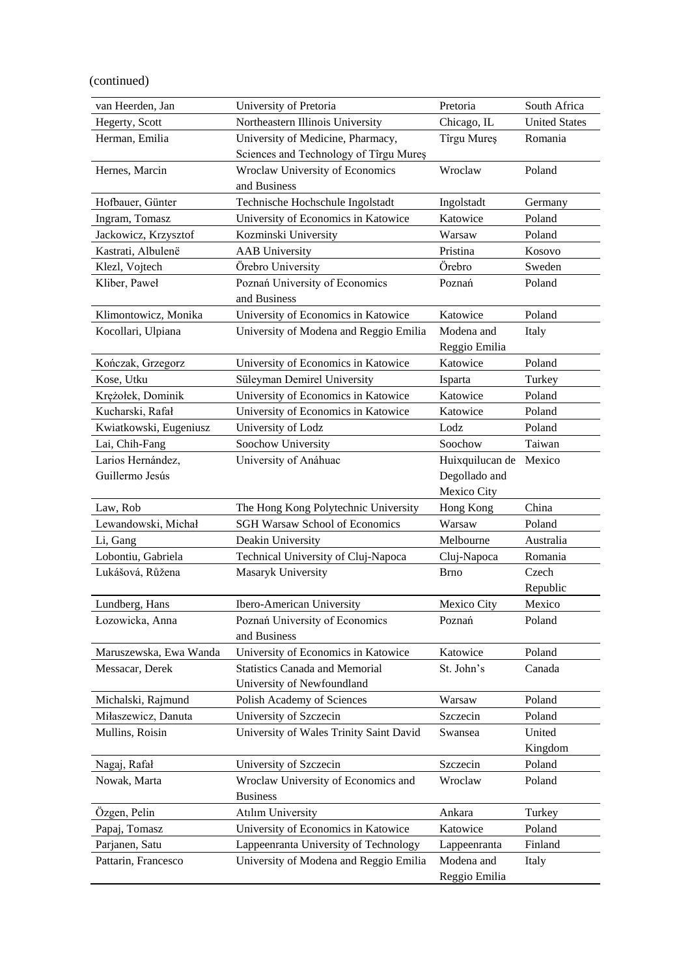(continued)

| van Heerden, Jan       | University of Pretoria                  | Pretoria        | South Africa         |
|------------------------|-----------------------------------------|-----------------|----------------------|
| Hegerty, Scott         | Northeastern Illinois University        | Chicago, IL     | <b>United States</b> |
| Herman, Emilia         | University of Medicine, Pharmacy,       | Tîrgu Mureş     | Romania              |
|                        | Sciences and Technology of Tîrgu Mureș  |                 |                      |
| Hernes, Marcin         | Wroclaw University of Economics         | Wroclaw         | Poland               |
|                        | and Business                            |                 |                      |
| Hofbauer, Günter       | Technische Hochschule Ingolstadt        | Ingolstadt      | Germany              |
| Ingram, Tomasz         | University of Economics in Katowice     | Katowice        | Poland               |
| Jackowicz, Krzysztof   | Kozminski University                    | Warsaw          | Poland               |
| Kastrati, Albulenë     | <b>AAB</b> University                   | Pristina        | Kosovo               |
| Klezl, Vojtech         | Örebro University                       | Orebro          | Sweden               |
| Kliber, Paweł          | Poznań University of Economics          | Poznań          | Poland               |
|                        | and Business                            |                 |                      |
| Klimontowicz, Monika   | University of Economics in Katowice     | Katowice        | Poland               |
| Kocollari, Ulpiana     | University of Modena and Reggio Emilia  | Modena and      | Italy                |
|                        |                                         | Reggio Emilia   |                      |
| Kończak, Grzegorz      | University of Economics in Katowice     | Katowice        | Poland               |
| Kose, Utku             | Süleyman Demirel University             | Isparta         | Turkey               |
| Krężołek, Dominik      | University of Economics in Katowice     | Katowice        | Poland               |
| Kucharski, Rafał       | University of Economics in Katowice     | Katowice        | Poland               |
| Kwiatkowski, Eugeniusz | University of Lodz                      | Lodz            | Poland               |
| Lai, Chih-Fang         | Soochow University                      | Soochow         | Taiwan               |
| Larios Hernández,      | University of Anáhuac                   | Huixquilucan de | Mexico               |
| Guillermo Jesús        |                                         | Degollado and   |                      |
|                        |                                         | Mexico City     |                      |
| Law, Rob               | The Hong Kong Polytechnic University    | Hong Kong       | China                |
| Lewandowski, Michał    | <b>SGH Warsaw School of Economics</b>   | Warsaw          | Poland               |
| Li, Gang               | Deakin University                       | Melbourne       | Australia            |
| Lobontiu, Gabriela     | Technical University of Cluj-Napoca     | Cluj-Napoca     | Romania              |
| Lukášová, Růžena       | Masaryk University                      | Brno            | Czech                |
|                        |                                         |                 | Republic             |
| Lundberg, Hans         | Ibero-American University               | Mexico City     | Mexico               |
| Łozowicka, Anna        | Poznań University of Economics          | Poznań          | Poland               |
|                        | and Business                            |                 |                      |
| Maruszewska, Ewa Wanda | University of Economics in Katowice     | Katowice        | Poland               |
| Messacar, Derek        | <b>Statistics Canada and Memorial</b>   | St. John's      | Canada               |
|                        | University of Newfoundland              |                 |                      |
| Michalski, Rajmund     | Polish Academy of Sciences              | Warsaw          | Poland               |
| Miłaszewicz, Danuta    | University of Szczecin                  | Szczecin        | Poland               |
| Mullins, Roisin        | University of Wales Trinity Saint David | Swansea         | United               |
|                        |                                         |                 | Kingdom              |
| Nagaj, Rafał           | University of Szczecin                  | Szczecin        | Poland               |
| Nowak, Marta           | Wroclaw University of Economics and     | Wroclaw         | Poland               |
|                        | <b>Business</b>                         |                 |                      |
| Özgen, Pelin           | <b>Atılım University</b>                | Ankara          | Turkey               |
| Papaj, Tomasz          | University of Economics in Katowice     | Katowice        | Poland               |
| Parjanen, Satu         | Lappeenranta University of Technology   | Lappeenranta    | Finland              |
| Pattarin, Francesco    | University of Modena and Reggio Emilia  | Modena and      | Italy                |
|                        |                                         | Reggio Emilia   |                      |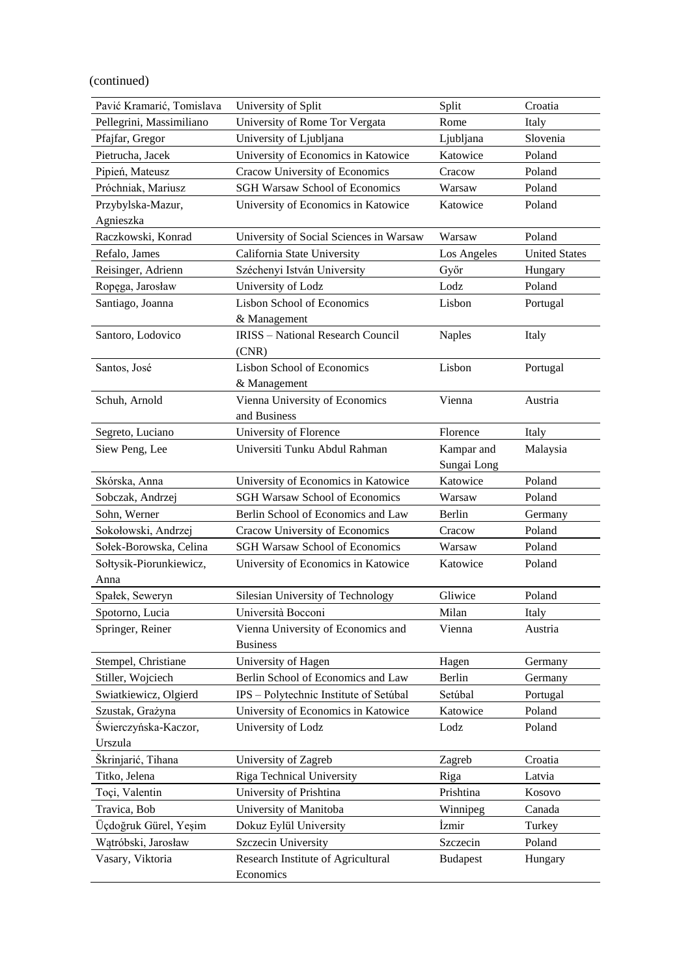(continued)

| Pavić Kramarić, Tomislava | University of Split                             | Split           | Croatia              |
|---------------------------|-------------------------------------------------|-----------------|----------------------|
| Pellegrini, Massimiliano  | University of Rome Tor Vergata                  | Rome            | Italy                |
| Pfajfar, Gregor           | University of Ljubljana                         | Ljubljana       | Slovenia             |
| Pietrucha, Jacek          | University of Economics in Katowice             | Katowice        | Poland               |
| Pipień, Mateusz           | Cracow University of Economics                  | Cracow          | Poland               |
| Próchniak, Mariusz        | <b>SGH Warsaw School of Economics</b>           | Warsaw          | Poland               |
| Przybylska-Mazur,         | University of Economics in Katowice             | Katowice        | Poland               |
| Agnieszka                 |                                                 |                 |                      |
| Raczkowski, Konrad        | University of Social Sciences in Warsaw         | Warsaw          | Poland               |
| Refalo, James             | California State University                     | Los Angeles     | <b>United States</b> |
| Reisinger, Adrienn        | Széchenyi István University                     | Győr            | Hungary              |
| Ropega, Jarosław          | University of Lodz                              | Lodz            | Poland               |
| Santiago, Joanna          | <b>Lisbon School of Economics</b>               | Lisbon          | Portugal             |
|                           | & Management                                    |                 |                      |
| Santoro, Lodovico         | <b>IRISS</b> - National Research Council        | <b>Naples</b>   | Italy                |
|                           | (CNR)                                           |                 |                      |
| Santos, José              | <b>Lisbon School of Economics</b>               | Lisbon          | Portugal             |
|                           | & Management                                    |                 |                      |
| Schuh, Arnold             | Vienna University of Economics                  | Vienna          | Austria              |
|                           | and Business                                    |                 |                      |
| Segreto, Luciano          | University of Florence                          | Florence        | Italy                |
| Siew Peng, Lee            | Universiti Tunku Abdul Rahman                   | Kampar and      | Malaysia             |
|                           |                                                 | Sungai Long     |                      |
| Skórska, Anna             | University of Economics in Katowice             | Katowice        | Poland               |
| Sobczak, Andrzej          | <b>SGH Warsaw School of Economics</b>           | Warsaw          | Poland               |
| Sohn, Werner              | Berlin School of Economics and Law              | Berlin          | Germany              |
| Sokołowski, Andrzej       | Cracow University of Economics                  | Cracow          | Poland               |
| Sołek-Borowska, Celina    | <b>SGH Warsaw School of Economics</b>           | Warsaw          | Poland               |
| Sołtysik-Piorunkiewicz,   | University of Economics in Katowice             | Katowice        | Poland               |
| Anna                      |                                                 |                 |                      |
| Spałek, Seweryn           | Silesian University of Technology               | Gliwice         | Poland               |
| Spotorno, Lucia           | Università Bocconi                              | Milan           | Italy                |
| Springer, Reiner          | Vienna University of Economics and              | Vienna          | Austria              |
|                           | <b>Business</b>                                 |                 |                      |
| Stempel, Christiane       | University of Hagen                             | Hagen           | Germany              |
| Stiller, Wojciech         | Berlin School of Economics and Law              | Berlin          | Germany              |
| Swiatkiewicz, Olgierd     | IPS - Polytechnic Institute of Setúbal          | Setúbal         | Portugal             |
| Szustak, Grażyna          | University of Economics in Katowice             | Katowice        | Poland               |
| Świerczyńska-Kaczor,      | University of Lodz                              | Lodz            | Poland               |
| Urszula                   |                                                 |                 |                      |
| Škrinjarić, Tihana        | University of Zagreb                            | Zagreb          | Croatia              |
| Titko, Jelena             | Riga Technical University                       | Riga            | Latvia               |
| Toçi, Valentin            | University of Prishtina                         | Prishtina       | Kosovo               |
| Travica, Bob              | University of Manitoba                          | Winnipeg        | Canada               |
| Üçdoğruk Gürel, Yeşim     | Dokuz Eylül University                          | Izmir           | Turkey               |
| Wątróbski, Jarosław       | Szczecin University                             | Szczecin        | Poland               |
| Vasary, Viktoria          | Research Institute of Agricultural<br>Economics | <b>Budapest</b> | Hungary              |